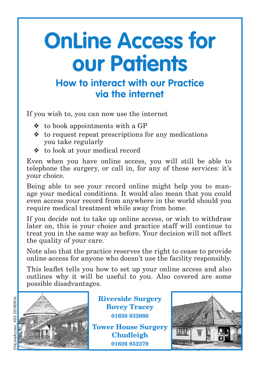# **OnLine Access for our Patients**

### **How to interact with our Practice via the internet**

If you wish to, you can now use the internet

- ❖ to book appointments with a GP
- ❖ to request repeat prescriptions for any medications you take regularly
- ❖ to look at your medical record

Even when you have online access, you will still be able to telephone the surgery, or call in, for any of these services: it's your choice.

Being able to see your record online might help you to manage your medical conditions. It would also mean that you could even access your record from anywhere in the world should you require medical treatment while away from home.

If you decide not to take up online access, or wish to withdraw later on, this is your choice and practice staff will continue to treat you in the same way as before. Your decision will not affect the quality of your care.

Note also that the practice reserves the right to cease to provide online access for anyone who doesn't use the facility responsibly.

This leaflet tells you how to set up your online access and also outlines why it will be useful to you. Also covered are some possible disadvantages.



**Riverside Surgery Bovey Tracey 01626 832666 Tower House Surgery Chudleigh**

**01626 852379**

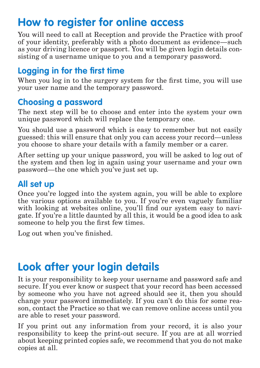## **How to register for online access**

You will need to call at Reception and provide the Practice with proof of your identity, preferably with a photo document as evidence—such as your driving licence or passport. You will be given login details consisting of a username unique to you and a temporary password.

#### **Logging in for the first time**

When you log in to the surgery system for the first time, you will use your user name and the temporary password.

#### **Choosing a password**

The next step will be to choose and enter into the system your own unique password which will replace the temporary one.

You should use a password which is easy to remember but not easily guessed: this will ensure that only you can access your record—unless you choose to share your details with a family member or a carer.

After setting up your unique password, you will be asked to log out of the system and then log in again using your username and your own password—the one which you've just set up.

#### **All set up**

Once you're logged into the system again, you will be able to explore the various options available to you. If you're even vaguely familiar with looking at websites online, you'll find our system easy to navigate. If you're a little daunted by all this, it would be a good idea to ask someone to help you the first few times.

Log out when you've finished.

## **Look after your login details**

It is your responsibility to keep your username and password safe and secure. If you ever know or suspect that your record has been accessed by someone who you have not agreed should see it, then you should change your password immediately. If you can't do this for some reason, contact the Practice so that we can remove online access until you are able to reset your password.

If you print out any information from your record, it is also your responsibility to keep the print-out secure. If you are at all worried about keeping printed copies safe, we recommend that you do not make copies at all.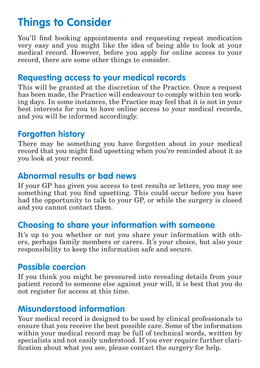## **Things to Consider**

You'll find booking appointments and requesting repeat medication very easy and you might like the idea of being able to look at your medical record. However, before you apply for online access to your record, there are some other things to consider.

#### **Requesting access to your medical records**

This will be granted at the discretion of the Practice. Once a request has been made, the Practice will endeavour to comply within ten working days. In some instances, the Practice may feel that it is not in your best interests for you to have online access to your medical records, and you will be informed accordingly.

#### **Forgotten history**

There may be something you have forgotten about in your medical record that you might find upsetting when you're reminded about it as you look at your record.

#### **Abnormal results or bad news**

If your GP has given you access to test results or letters, you may see something that you find upsetting. This could occur before you have had the opportunity to talk to your GP, or while the surgery is closed and you cannot contact them.

#### **Choosing to share your information with someone**

It's up to you whether or not you share your information with others, perhaps family members or carers. It's your choice, but also your responsibility to keep the information safe and secure.

#### **Possible coercion**

If you think you might be pressured into revealing details from your patient record to someone else against your will, it is best that you do not register for access at this time.

#### **Misunderstood information**

Your medical record is designed to be used by clinical professionals to ensure that you receive the best possible care. Some of the information within your medical record may be full of technical words, written by specialists and not easily understood. If you ever require further clarification about what you see, please contact the surgery for help.